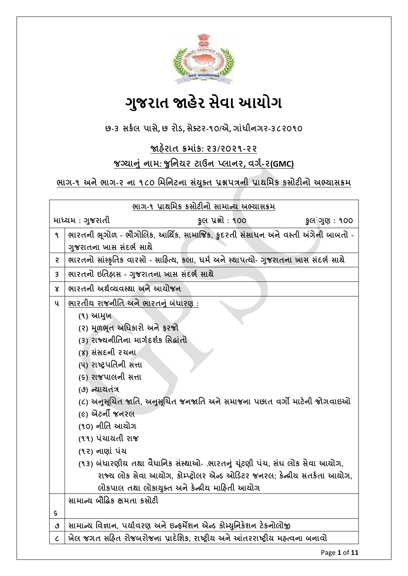

# **ગુજરાત જાહેર સેવા આયોગ**

**છ-૩ સર્કર ાસે, છ યોડ, સેક્ટય-૧૦/એ, ગાાંધીનગય-૩૮૨૦૧૦**

**જાહેયાત ક્રભાાંર્: ૨૩/૨૦૨૧-૨૨**

# **જગ્માનાં નાભ: જ નનમય ટાઉન પ્રાનય, લગક-૨(GMC)**

## **બાગ-૧ અનેબાગ-૨ ના ૧૮૦ નભનનટના સયાં ક્ ત પ્રશ્નત્રની પ્રાથનભર્ ર્સોટીનો અભ્માસક્રભ**

| ભાગ-૧ પ્રાથમિક કસોટીનો સામાન્ય અભ્યાસક્રમ |                                                                                      |                                                                            |              |
|-------------------------------------------|--------------------------------------------------------------------------------------|----------------------------------------------------------------------------|--------------|
| માધ્યમ : ગુજરાતી                          |                                                                                      | કુલ પ્રશ્નો : ૧૦૦                                                          | કુલ ગુણ: ૧૦૦ |
| ٩                                         | ભારતની ભૂગોળ - ભૌગોલિક, આર્થિક, સામાજિક, કુદરતી સંસાધન અને વસ્તી અંગેની બાબતો -      |                                                                            |              |
|                                           | ગુજરાતના ખાસ સંદર્ભ સાથે                                                             |                                                                            |              |
| Ş                                         | ભારતનો સાંસ્કૃતિક વારસો - સાહિત્ય, કલા, ધર્મ અને સ્થાપત્યો- ગુજરાતના ખાસ સંદર્ભ સાથે |                                                                            |              |
| 3                                         | ભારતનો ઇતિહ્રાસ - ગુજરાતના ખાસ સંદર્ભ સાથે                                           |                                                                            |              |
| Χ                                         | ભારતની અર્થવ્યવસ્થા અને આયોજન                                                        |                                                                            |              |
| ૫                                         | ભારતીય રાજનીતિ અને ભારતનું બંધારણ :                                                  |                                                                            |              |
|                                           | (૧) આમુખ                                                                             |                                                                            |              |
|                                           | (૨) મૂળભૂત અધિકારો અને ફરજો                                                          |                                                                            |              |
|                                           | (3) રાજ્યનીતિના માર્ગદર્શક સિદ્ધાંતો                                                 |                                                                            |              |
|                                           | (४) સંસદની રચના                                                                      |                                                                            |              |
|                                           | (૫) રાષ્ટ્રપતિની સત્તા                                                               |                                                                            |              |
|                                           | (९) राજપાલની સત્તા                                                                   |                                                                            |              |
|                                           | (૭) ન્યાયતંત્ર                                                                       |                                                                            |              |
|                                           |                                                                                      | (૮) અનુસૂચિત જાતિ, અનુસૂચિત જનજાતિ અને સમાજના પછાત વર્ગો માટેની જોગવાઇઓ    |              |
|                                           | (૯) એટર્ની જનરલ                                                                      |                                                                            |              |
|                                           | (૧૦) નીતિ આયોગ                                                                       |                                                                            |              |
|                                           | (૧૧) પંચાયતી રાજ                                                                     |                                                                            |              |
|                                           | (૧૨) નાણાં પંચ                                                                       |                                                                            |              |
|                                           |                                                                                      | (૧૩) બંધારણીય તથા વૈધાનિક સંસ્થાઓ- .ભારતનું યૂંટણી પંચ, સંઘ લોક સેવા આયોગ, |              |
|                                           |                                                                                      | રાજ્ય લોક સેવા આયોગ, કોમ્પ્ટ્રોલર એન્ડ ઓડિટર જનરલ; કેન્ન્રીય સતર્કતા આયોગ, |              |
|                                           |                                                                                      | લોકપાલ તથા લોકાયુક્ત અને કેન્દ્રીય માહિતી આયોગ                             |              |
|                                           | સામાન્ય બૌદ્ધિક ક્ષમતા કસોટી                                                         |                                                                            |              |
| ς                                         |                                                                                      |                                                                            |              |
| ٯ                                         | સામાન્ય વિજ્ઞાન, પર્યાવરણ અને ઇન્ફર્મેશન એન્ડ કોમ્યુનિકેશન ટેકનોલોજી                 |                                                                            |              |
| $\mathcal{C}_{0}$                         | ખેલ જગત સહિત રોજબરોજના પ્રાદેશિક, રાષ્ટ્રીય અને આંતરરાષ્ટ્રીય મહ્ત્વના બનાવો         |                                                                            |              |

Page **1** of **11**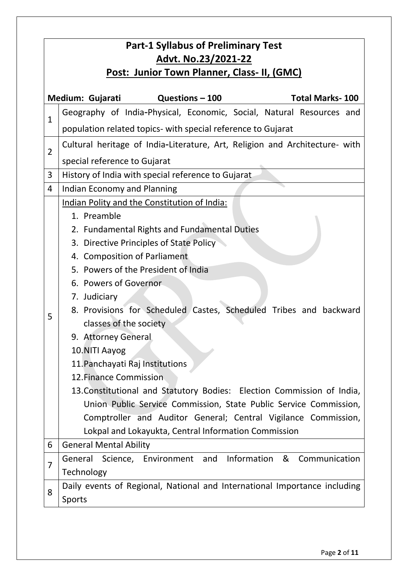| <b>Part-1 Syllabus of Preliminary Test</b><br>Advt. No.23/2021-22 |                                                                                                                                                                                                                                                                                                                                                                                                                                                                                                                                                                                                                                                                                                                                                     |  |  |  |
|-------------------------------------------------------------------|-----------------------------------------------------------------------------------------------------------------------------------------------------------------------------------------------------------------------------------------------------------------------------------------------------------------------------------------------------------------------------------------------------------------------------------------------------------------------------------------------------------------------------------------------------------------------------------------------------------------------------------------------------------------------------------------------------------------------------------------------------|--|--|--|
| Post: Junior Town Planner, Class- II, (GMC)                       |                                                                                                                                                                                                                                                                                                                                                                                                                                                                                                                                                                                                                                                                                                                                                     |  |  |  |
| Medium: Gujarati<br>Questions - 100<br><b>Total Marks-100</b>     |                                                                                                                                                                                                                                                                                                                                                                                                                                                                                                                                                                                                                                                                                                                                                     |  |  |  |
| $\mathbf{1}$                                                      | Geography of India-Physical, Economic, Social, Natural Resources and<br>population related topics- with special reference to Gujarat                                                                                                                                                                                                                                                                                                                                                                                                                                                                                                                                                                                                                |  |  |  |
| $\overline{2}$                                                    | Cultural heritage of India-Literature, Art, Religion and Architecture- with<br>special reference to Gujarat                                                                                                                                                                                                                                                                                                                                                                                                                                                                                                                                                                                                                                         |  |  |  |
| 3                                                                 | History of India with special reference to Gujarat                                                                                                                                                                                                                                                                                                                                                                                                                                                                                                                                                                                                                                                                                                  |  |  |  |
| 4                                                                 | <b>Indian Economy and Planning</b>                                                                                                                                                                                                                                                                                                                                                                                                                                                                                                                                                                                                                                                                                                                  |  |  |  |
| 5                                                                 | Indian Polity and the Constitution of India:<br>1. Preamble<br>2. Fundamental Rights and Fundamental Duties<br>3. Directive Principles of State Policy<br>4. Composition of Parliament<br>5. Powers of the President of India<br>6. Powers of Governor<br>7. Judiciary<br>8. Provisions for Scheduled Castes, Scheduled Tribes and backward<br>classes of the society<br>9. Attorney General<br>10.NITI Aayog<br>11. Panchayati Raj Institutions<br>12. Finance Commission<br>13. Constitutional and Statutory Bodies: Election Commission of India,<br>Union Public Service Commission, State Public Service Commission,<br>Comptroller and Auditor General; Central Vigilance Commission,<br>Lokpal and Lokayukta, Central Information Commission |  |  |  |
| 6                                                                 | <b>General Mental Ability</b>                                                                                                                                                                                                                                                                                                                                                                                                                                                                                                                                                                                                                                                                                                                       |  |  |  |
| 7                                                                 | General Science, Environment and Information & Communication<br>Technology                                                                                                                                                                                                                                                                                                                                                                                                                                                                                                                                                                                                                                                                          |  |  |  |
| 8                                                                 | Daily events of Regional, National and International Importance including<br><b>Sports</b>                                                                                                                                                                                                                                                                                                                                                                                                                                                                                                                                                                                                                                                          |  |  |  |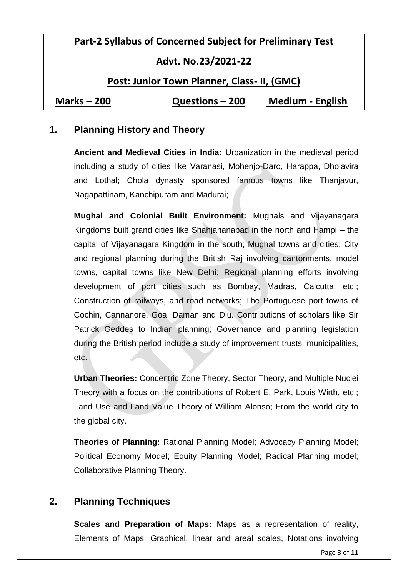# **Part-2 Syllabus of Concerned Subject for Preliminary Test**

#### **Advt. No.23/2021-22**

#### **Post: Junior Town Planner, Class- II, (GMC)**

**Marks – 200 Questions – 200 Medium - English**

#### **1. Planning History and Theory**

**Ancient and Medieval Cities in India:** Urbanization in the medieval period including a study of cities like Varanasi, Mohenjo-Daro, Harappa, Dholavira and Lothal; Chola dynasty sponsored famous towns like Thanjavur, Nagapattinam, Kanchipuram and Madurai;

**Mughal and Colonial Built Environment:** Mughals and Vijayanagara Kingdoms built grand cities like Shahjahanabad in the north and Hampi – the capital of Vijayanagara Kingdom in the south; Mughal towns and cities; City and regional planning during the British Raj involving cantonments, model towns, capital towns like New Delhi; Regional planning efforts involving development of port cities such as Bombay, Madras, Calcutta, etc.; Construction of railways, and road networks; The Portuguese port towns of Cochin, Cannanore, Goa, Daman and Diu. Contributions of scholars like Sir Patrick Geddes to Indian planning; Governance and planning legislation during the British period include a study of improvement trusts, municipalities, etc.

**Urban Theories:** Concentric Zone Theory, Sector Theory, and Multiple Nuclei Theory with a focus on the contributions of Robert E. Park, Louis Wirth, etc.; Land Use and Land Value Theory of William Alonso; From the world city to the global city.

**Theories of Planning:** Rational Planning Model; Advocacy Planning Model; Political Economy Model; Equity Planning Model; Radical Planning model; Collaborative Planning Theory.

#### **2. Planning Techniques**

**Scales and Preparation of Maps:** Maps as a representation of reality, Elements of Maps; Graphical, linear and areal scales, Notations involving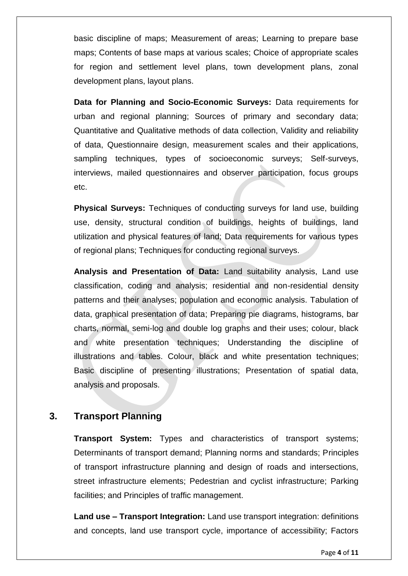basic discipline of maps; Measurement of areas; Learning to prepare base maps; Contents of base maps at various scales; Choice of appropriate scales for region and settlement level plans, town development plans, zonal development plans, layout plans.

**Data for Planning and Socio-Economic Surveys:** Data requirements for urban and regional planning; Sources of primary and secondary data; Quantitative and Qualitative methods of data collection, Validity and reliability of data, Questionnaire design, measurement scales and their applications, sampling techniques, types of socioeconomic surveys; Self-surveys, interviews, mailed questionnaires and observer participation, focus groups etc.

**Physical Surveys:** Techniques of conducting surveys for land use, building use, density, structural condition of buildings, heights of buildings, land utilization and physical features of land; Data requirements for various types of regional plans; Techniques for conducting regional surveys.

**Analysis and Presentation of Data:** Land suitability analysis, Land use classification, coding and analysis; residential and non-residential density patterns and their analyses; population and economic analysis. Tabulation of data, graphical presentation of data; Preparing pie diagrams, histograms, bar charts, normal, semi-log and double log graphs and their uses; colour, black and white presentation techniques; Understanding the discipline of illustrations and tables. Colour, black and white presentation techniques; Basic discipline of presenting illustrations; Presentation of spatial data, analysis and proposals.

#### **3. Transport Planning**

**Transport System:** Types and characteristics of transport systems; Determinants of transport demand; Planning norms and standards; Principles of transport infrastructure planning and design of roads and intersections, street infrastructure elements; Pedestrian and cyclist infrastructure; Parking facilities; and Principles of traffic management.

**Land use – Transport Integration:** Land use transport integration: definitions and concepts, land use transport cycle, importance of accessibility; Factors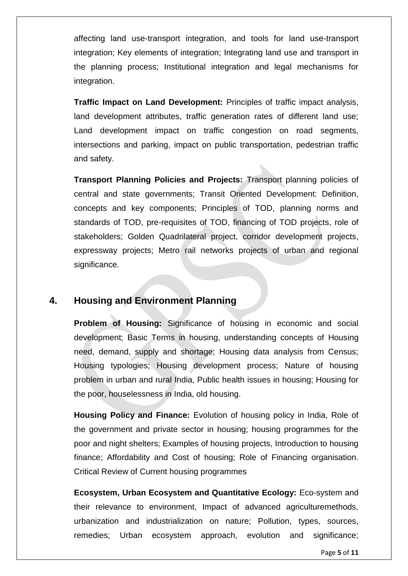affecting land use-transport integration, and tools for land use-transport integration; Key elements of integration; Integrating land use and transport in the planning process; Institutional integration and legal mechanisms for integration.

**Traffic Impact on Land Development:** Principles of traffic impact analysis, land development attributes, traffic generation rates of different land use; Land development impact on traffic congestion on road segments, intersections and parking, impact on public transportation, pedestrian traffic and safety.

**Transport Planning Policies and Projects:** Transport planning policies of central and state governments; Transit Oriented Development: Definition, concepts and key components; Principles of TOD, planning norms and standards of TOD, pre-requisites of TOD, financing of TOD projects, role of stakeholders; Golden Quadrilateral project, corridor development projects, expressway projects; Metro rail networks projects of urban and regional significance.

#### **4. Housing and Environment Planning**

**Problem of Housing:** Significance of housing in economic and social development; Basic Terms in housing, understanding concepts of Housing need, demand, supply and shortage; Housing data analysis from Census; Housing typologies; Housing development process; Nature of housing problem in urban and rural India, Public health issues in housing; Housing for the poor, houselessness in India, old housing.

**Housing Policy and Finance:** Evolution of housing policy in India, Role of the government and private sector in housing; housing programmes for the poor and night shelters; Examples of housing projects, Introduction to housing finance; Affordability and Cost of housing; Role of Financing organisation. Critical Review of Current housing programmes

**Ecosystem, Urban Ecosystem and Quantitative Ecology:** Eco-system and their relevance to environment, Impact of advanced agriculturemethods, urbanization and industrialization on nature; Pollution, types, sources, remedies; Urban ecosystem approach, evolution and significance;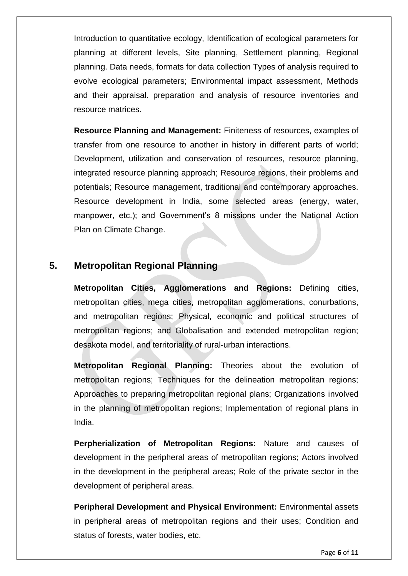Introduction to quantitative ecology, Identification of ecological parameters for planning at different levels, Site planning, Settlement planning, Regional planning. Data needs, formats for data collection Types of analysis required to evolve ecological parameters; Environmental impact assessment, Methods and their appraisal. preparation and analysis of resource inventories and resource matrices.

**Resource Planning and Management:** Finiteness of resources, examples of transfer from one resource to another in history in different parts of world; Development, utilization and conservation of resources, resource planning, integrated resource planning approach; Resource regions, their problems and potentials; Resource management, traditional and contemporary approaches. Resource development in India, some selected areas (energy, water, manpower, etc.); and Government's 8 missions under the National Action Plan on Climate Change.

#### **5. Metropolitan Regional Planning**

**Metropolitan Cities, Agglomerations and Regions:** Defining cities, metropolitan cities, mega cities, metropolitan agglomerations, conurbations, and metropolitan regions; Physical, economic and political structures of metropolitan regions; and Globalisation and extended metropolitan region; desakota model, and territoriality of rural-urban interactions.

**Metropolitan Regional Planning:** Theories about the evolution of metropolitan regions; Techniques for the delineation metropolitan regions; Approaches to preparing metropolitan regional plans; Organizations involved in the planning of metropolitan regions; Implementation of regional plans in India.

**Perpherialization of Metropolitan Regions:** Nature and causes of development in the peripheral areas of metropolitan regions; Actors involved in the development in the peripheral areas; Role of the private sector in the development of peripheral areas.

**Peripheral Development and Physical Environment:** Environmental assets in peripheral areas of metropolitan regions and their uses; Condition and status of forests, water bodies, etc.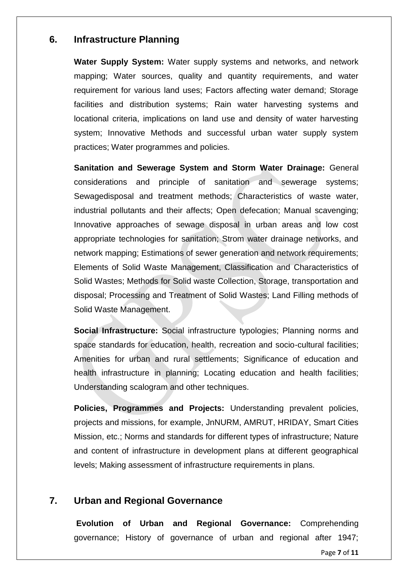#### **6. Infrastructure Planning**

**Water Supply System:** Water supply systems and networks, and network mapping; Water sources, quality and quantity requirements, and water requirement for various land uses; Factors affecting water demand; Storage facilities and distribution systems; Rain water harvesting systems and locational criteria, implications on land use and density of water harvesting system; Innovative Methods and successful urban water supply system practices; Water programmes and policies.

**Sanitation and Sewerage System and Storm Water Drainage:** General considerations and principle of sanitation and sewerage systems; Sewagedisposal and treatment methods; Characteristics of waste water, industrial pollutants and their affects; Open defecation; Manual scavenging; Innovative approaches of sewage disposal in urban areas and low cost appropriate technologies for sanitation; Strom water drainage networks, and network mapping; Estimations of sewer generation and network requirements; Elements of Solid Waste Management, Classification and Characteristics of Solid Wastes; Methods for Solid waste Collection, Storage, transportation and disposal; Processing and Treatment of Solid Wastes; Land Filling methods of Solid Waste Management.

**Social Infrastructure:** Social infrastructure typologies; Planning norms and space standards for education, health, recreation and socio-cultural facilities; Amenities for urban and rural settlements; Significance of education and health infrastructure in planning; Locating education and health facilities; Understanding scalogram and other techniques.

**Policies, Programmes and Projects:** Understanding prevalent policies, projects and missions, for example, JnNURM, AMRUT, HRIDAY, Smart Cities Mission, etc.; Norms and standards for different types of infrastructure; Nature and content of infrastructure in development plans at different geographical levels; Making assessment of infrastructure requirements in plans.

### **7. Urban and Regional Governance**

**Evolution of Urban and Regional Governance:** Comprehending governance; History of governance of urban and regional after 1947;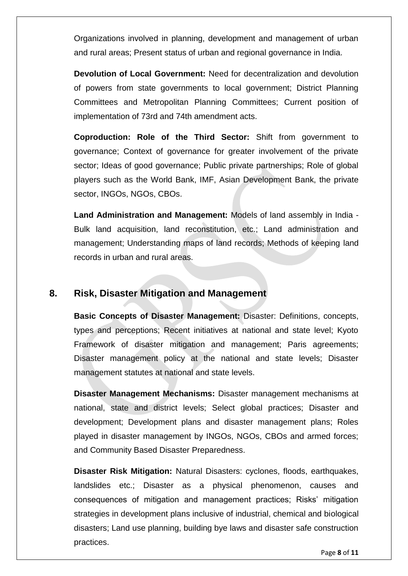Organizations involved in planning, development and management of urban and rural areas; Present status of urban and regional governance in India.

**Devolution of Local Government:** Need for decentralization and devolution of powers from state governments to local government; District Planning Committees and Metropolitan Planning Committees; Current position of implementation of 73rd and 74th amendment acts.

**Coproduction: Role of the Third Sector:** Shift from government to governance; Context of governance for greater involvement of the private sector; Ideas of good governance; Public private partnerships; Role of global players such as the World Bank, IMF, Asian Development Bank, the private sector, INGOs, NGOs, CBOs.

**Land Administration and Management:** Models of land assembly in India - Bulk land acquisition, land reconstitution, etc.; Land administration and management; Understanding maps of land records; Methods of keeping land records in urban and rural areas.

#### **8. Risk, Disaster Mitigation and Management**

**Basic Concepts of Disaster Management:** Disaster: Definitions, concepts, types and perceptions; Recent initiatives at national and state level; Kyoto Framework of disaster mitigation and management; Paris agreements; Disaster management policy at the national and state levels; Disaster management statutes at national and state levels.

**Disaster Management Mechanisms:** Disaster management mechanisms at national, state and district levels; Select global practices; Disaster and development; Development plans and disaster management plans; Roles played in disaster management by INGOs, NGOs, CBOs and armed forces; and Community Based Disaster Preparedness.

**Disaster Risk Mitigation:** Natural Disasters: cyclones, floods, earthquakes, landslides etc.; Disaster as a physical phenomenon, causes and consequences of mitigation and management practices; Risks' mitigation strategies in development plans inclusive of industrial, chemical and biological disasters; Land use planning, building bye laws and disaster safe construction practices.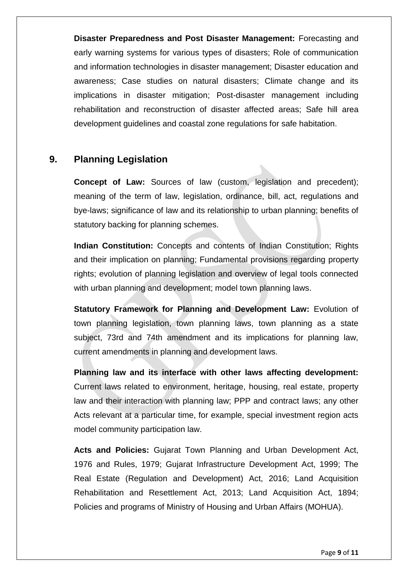**Disaster Preparedness and Post Disaster Management:** Forecasting and early warning systems for various types of disasters; Role of communication and information technologies in disaster management; Disaster education and awareness; Case studies on natural disasters; Climate change and its implications in disaster mitigation; Post-disaster management including rehabilitation and reconstruction of disaster affected areas; Safe hill area development guidelines and coastal zone regulations for safe habitation.

#### **9. Planning Legislation**

**Concept of Law:** Sources of law (custom, legislation and precedent); meaning of the term of law, legislation, ordinance, bill, act, regulations and bye-laws; significance of law and its relationship to urban planning; benefits of statutory backing for planning schemes.

**Indian Constitution:** Concepts and contents of Indian Constitution; Rights and their implication on planning; Fundamental provisions regarding property rights; evolution of planning legislation and overview of legal tools connected with urban planning and development; model town planning laws.

**Statutory Framework for Planning and Development Law: Evolution of** town planning legislation, town planning laws, town planning as a state subject, 73rd and 74th amendment and its implications for planning law, current amendments in planning and development laws.

**Planning law and its interface with other laws affecting development:**  Current laws related to environment, heritage, housing, real estate, property law and their interaction with planning law; PPP and contract laws; any other Acts relevant at a particular time, for example, special investment region acts model community participation law.

**Acts and Policies:** Gujarat Town Planning and Urban Development Act, 1976 and Rules, 1979; Gujarat Infrastructure Development Act, 1999; The Real Estate (Regulation and Development) Act, 2016; Land Acquisition Rehabilitation and Resettlement Act, 2013; Land Acquisition Act, 1894; Policies and programs of Ministry of Housing and Urban Affairs (MOHUA).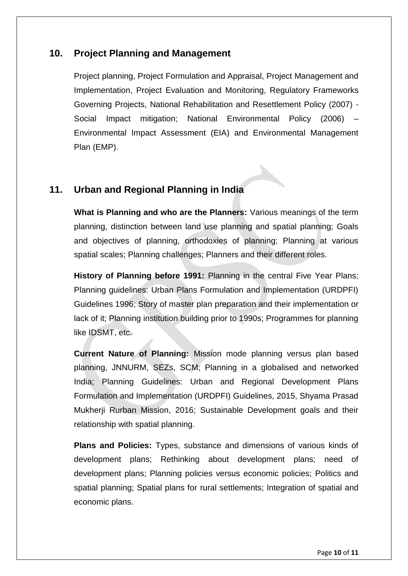#### **10. Project Planning and Management**

Project planning, Project Formulation and Appraisal, Project Management and Implementation, Project Evaluation and Monitoring, Regulatory Frameworks Governing Projects, National Rehabilitation and Resettlement Policy (2007) - Social Impact mitigation; National Environmental Policy (2006) – Environmental Impact Assessment (EIA) and Environmental Management Plan (EMP).

### **11. Urban and Regional Planning in India**

**What is Planning and who are the Planners:** Various meanings of the term planning, distinction between land use planning and spatial planning; Goals and objectives of planning, orthodoxies of planning; Planning at various spatial scales; Planning challenges; Planners and their different roles.

**History of Planning before 1991:** Planning in the central Five Year Plans; Planning guidelines: Urban Plans Formulation and Implementation (URDPFI) Guidelines 1996; Story of master plan preparation and their implementation or lack of it; Planning institution building prior to 1990s; Programmes for planning like IDSMT, etc.

**Current Nature of Planning:** Mission mode planning versus plan based planning, JNNURM, SEZs, SCM; Planning in a globalised and networked India; Planning Guidelines: Urban and Regional Development Plans Formulation and Implementation (URDPFI) Guidelines, 2015, Shyama Prasad Mukherji Rurban Mission, 2016; Sustainable Development goals and their relationship with spatial planning.

**Plans and Policies:** Types, substance and dimensions of various kinds of development plans; Rethinking about development plans; need of development plans; Planning policies versus economic policies; Politics and spatial planning; Spatial plans for rural settlements; Integration of spatial and economic plans.